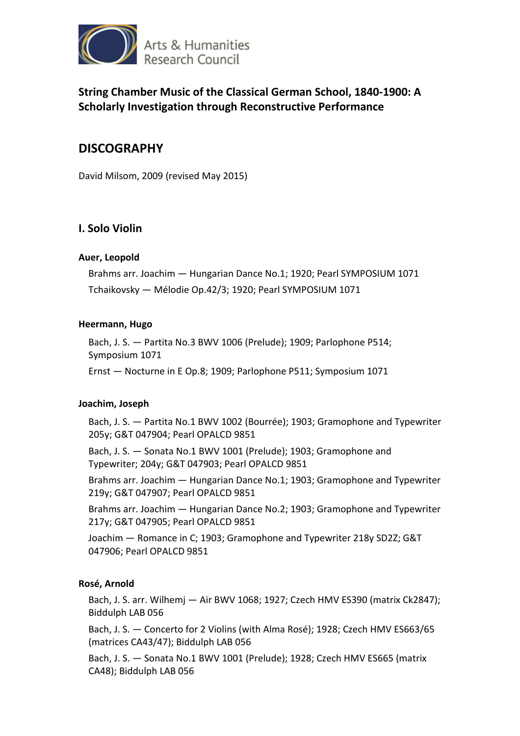

**String Chamber Music of the Classical German School, 1840-1900: A Scholarly Investigation through Reconstructive Performance** 

# **DISCOGRAPHY**

David Milsom, 2009 (revised May 2015)

### **I. Solo Violin**

#### **Auer, Leopold**

Brahms arr. Joachim — Hungarian Dance No.1; 1920; Pearl SYMPOSIUM 1071 Tchaikovsky — Mélodie Op.42/3; 1920; Pearl SYMPOSIUM 1071

#### **Heermann, Hugo**

Bach, J. S. — Partita No.3 BWV 1006 (Prelude); 1909; Parlophone P514; Symposium 1071

Ernst — Nocturne in E Op.8; 1909; Parlophone P511; Symposium 1071

#### **Joachim, Joseph**

Bach, J. S. — Partita No.1 BWV 1002 (Bourrée); 1903; Gramophone and Typewriter 205y; G&T 047904; Pearl OPALCD 9851

Bach, J. S. — Sonata No.1 BWV 1001 (Prelude); 1903; Gramophone and Typewriter; 204y; G&T 047903; Pearl OPALCD 9851

Brahms arr. Joachim — Hungarian Dance No.1; 1903; Gramophone and Typewriter 219y; G&T 047907; Pearl OPALCD 9851

Brahms arr. Joachim — Hungarian Dance No.2; 1903; Gramophone and Typewriter 217y; G&T 047905; Pearl OPALCD 9851

Joachim — Romance in C; 1903; Gramophone and Typewriter 218y SD2Z; G&T 047906; Pearl OPALCD 9851

### **Rosé, Arnold**

Bach, J. S. arr. Wilhemj — Air BWV 1068; 1927; Czech HMV ES390 (matrix Ck2847); Biddulph LAB 056

Bach, J. S. — Concerto for 2 Violins (with Alma Rosé); 1928; Czech HMV ES663/65 (matrices CA43/47); Biddulph LAB 056

Bach, J. S. — Sonata No.1 BWV 1001 (Prelude); 1928; Czech HMV ES665 (matrix CA48); Biddulph LAB 056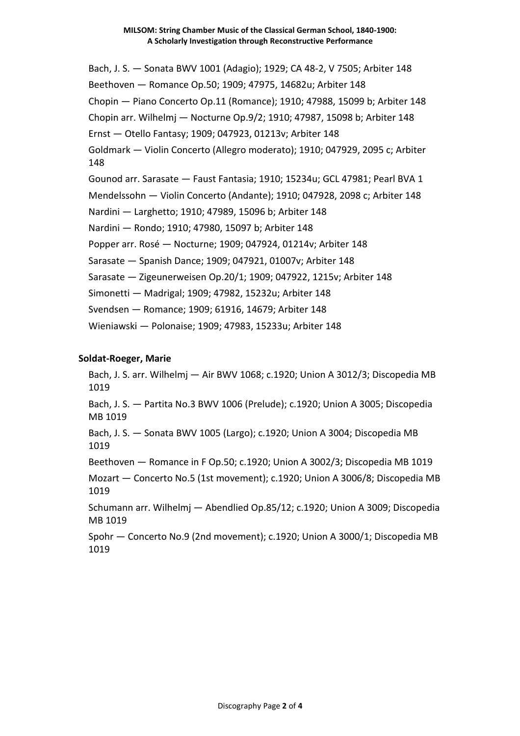Bach, J. S. — Sonata BWV 1001 (Adagio); 1929; CA 48-2, V 7505; Arbiter 148 Beethoven — Romance Op.50; 1909; 47975, 14682u; Arbiter 148 Chopin — Piano Concerto Op.11 (Romance); 1910; 47988, 15099 b; Arbiter 148 Chopin arr. Wilhelmj — Nocturne Op.9/2; 1910; 47987, 15098 b; Arbiter 148 Ernst — Otello Fantasy; 1909; 047923, 01213v; Arbiter 148 Goldmark — Violin Concerto (Allegro moderato); 1910; 047929, 2095 c; Arbiter 148 Gounod arr. Sarasate — Faust Fantasia; 1910; 15234u; GCL 47981; Pearl BVA 1 Mendelssohn — Violin Concerto (Andante); 1910; 047928, 2098 c; Arbiter 148 Nardini — Larghetto; 1910; 47989, 15096 b; Arbiter 148 Nardini — Rondo; 1910; 47980, 15097 b; Arbiter 148 Popper arr. Rosé — Nocturne; 1909; 047924, 01214v; Arbiter 148 Sarasate — Spanish Dance; 1909; 047921, 01007v; Arbiter 148 Sarasate — Zigeunerweisen Op.20/1; 1909; 047922, 1215v; Arbiter 148 Simonetti — Madrigal; 1909; 47982, 15232u; Arbiter 148 Svendsen — Romance; 1909; 61916, 14679; Arbiter 148 Wieniawski — Polonaise; 1909; 47983, 15233u; Arbiter 148

### **Soldat-Roeger, Marie**

Bach, J. S. arr. Wilhelmj — Air BWV 1068; c.1920; Union A 3012/3; Discopedia MB 1019 Bach, J. S. — Partita No.3 BWV 1006 (Prelude); c.1920; Union A 3005; Discopedia MB 1019 Bach, J. S. — Sonata BWV 1005 (Largo); c.1920; Union A 3004; Discopedia MB 1019 Beethoven — Romance in F Op.50; c.1920; Union A 3002/3; Discopedia MB 1019 Mozart — Concerto No.5 (1st movement); c.1920; Union A 3006/8; Discopedia MB 1019 Schumann arr. Wilhelmj — Abendlied Op.85/12; c.1920; Union A 3009; Discopedia MB 1019 Spohr — Concerto No.9 (2nd movement); c.1920; Union A 3000/1; Discopedia MB 1019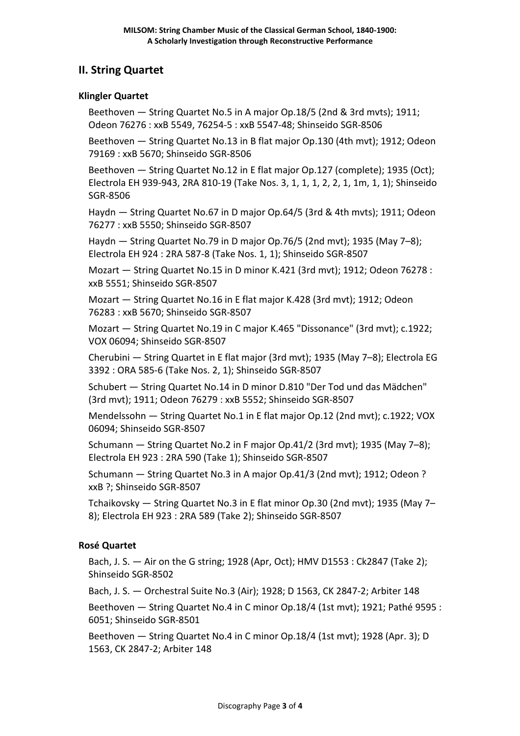## **II. String Quartet**

#### **Klingler Quartet**

Beethoven — String Quartet No.5 in A major Op.18/5 (2nd & 3rd mvts); 1911; Odeon 76276 : xxB 5549, 76254-5 : xxB 5547-48; Shinseido SGR-8506

Beethoven — String Quartet No.13 in B flat major Op.130 (4th mvt); 1912; Odeon 79169 : xxB 5670; Shinseido SGR-8506

Beethoven — String Quartet No.12 in E flat major Op.127 (complete); 1935 (Oct); Electrola EH 939-943, 2RA 810-19 (Take Nos. 3, 1, 1, 1, 2, 2, 1, 1m, 1, 1); Shinseido SGR-8506

Haydn — String Quartet No.67 in D major Op.64/5 (3rd & 4th mvts); 1911; Odeon 76277 : xxB 5550; Shinseido SGR-8507

Haydn — String Quartet No.79 in D major Op.76/5 (2nd mvt); 1935 (May 7–8); Electrola EH 924 : 2RA 587-8 (Take Nos. 1, 1); Shinseido SGR-8507

Mozart — String Quartet No.15 in D minor K.421 (3rd mvt); 1912; Odeon 76278 : xxB 5551; Shinseido SGR-8507

Mozart — String Quartet No.16 in E flat major K.428 (3rd mvt); 1912; Odeon 76283 : xxB 5670; Shinseido SGR-8507

Mozart — String Quartet No.19 in C major K.465 "Dissonance" (3rd mvt); c.1922; VOX 06094; Shinseido SGR-8507

Cherubini — String Quartet in E flat major (3rd mvt); 1935 (May 7–8); Electrola EG 3392 : ORA 585-6 (Take Nos. 2, 1); Shinseido SGR-8507

Schubert — String Quartet No.14 in D minor D.810 "Der Tod und das Mädchen" (3rd mvt); 1911; Odeon 76279 : xxB 5552; Shinseido SGR-8507

Mendelssohn — String Quartet No.1 in E flat major Op.12 (2nd mvt); c.1922; VOX 06094; Shinseido SGR-8507

Schumann — String Quartet No.2 in F major Op.41/2 (3rd mvt); 1935 (May 7–8); Electrola EH 923 : 2RA 590 (Take 1); Shinseido SGR-8507

Schumann — String Quartet No.3 in A major Op.41/3 (2nd mvt); 1912; Odeon ? xxB ?; Shinseido SGR-8507

Tchaikovsky — String Quartet No.3 in E flat minor Op.30 (2nd mvt); 1935 (May 7– 8); Electrola EH 923 : 2RA 589 (Take 2); Shinseido SGR-8507

### **Rosé Quartet**

Bach, J. S. — Air on the G string; 1928 (Apr, Oct); HMV D1553 : Ck2847 (Take 2); Shinseido SGR-8502

Bach, J. S. — Orchestral Suite No.3 (Air); 1928; D 1563, CK 2847-2; Arbiter 148

Beethoven — String Quartet No.4 in C minor Op.18/4 (1st mvt); 1921; Pathé 9595 : 6051; Shinseido SGR-8501

Beethoven — String Quartet No.4 in C minor Op.18/4 (1st mvt); 1928 (Apr. 3); D 1563, CK 2847-2; Arbiter 148